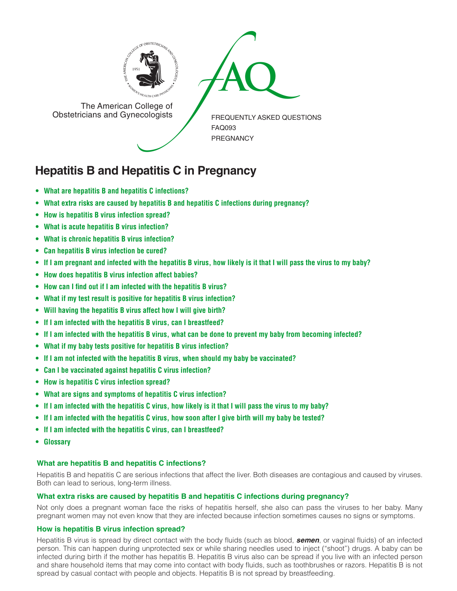

The American College of<br>
Obstetricians and Gynecologists

The American College of<br>Obstetricians and Gynecologists

FREQUENTLY ASKED QUESTIONS FAQ093 PREGNANCY

# **Hepatitis B and Hepatitis C in Pregnancy**

- **• What are hepatitis B and hepatitis C [infections?](#page-0-0)**
- **• What extra risks are caused by hepatitis B and hepatitis C infections during [pregnancy?](#page-0-1)**
- **• How is [hepatitis](#page-0-2) B virus infection spread?**
- **• What is acute hepatitis B virus [infection?](#page-1-0)**
- **• What is chronic hepatitis B virus [infection?](#page-1-1)**
- **• Can [hepatitis](#page-1-2) B virus infection be cured?**
- If I am [pregnant](#page-1-3) and infected with the hepatitis B virus, how likely is it that I will pass the virus to my baby?
- **• How does [hepatitis](#page-1-4) B virus infection affect babies?**
- **• How can I find out if I am infected with the [hepatitis](#page-1-5) B virus?**
- **• What if my test result is positive for hepatitis B virus [infection?](#page-1-6)**
- **• Will having the [hepatitis](#page-1-7) B virus affect how I will give birth?**
- **• If I am infected with the hepatitis B virus, can I [breastfeed?](#page-1-8)**
- If I am infected with the hepatitis B virus, what can be done to prevent my baby from [becoming](#page-1-9) infected?
- **• What if my baby tests positive for hepatitis B virus [infection?](#page-1-10)**
- **• If I am not infected with the hepatitis B virus, when should my baby be [vaccinated?](#page-1-11)**
- **• Can I be [vaccinated](#page-2-0) against hepatitis C virus infection?**
- **• How is [hepatitis](#page-2-1) C virus infection spread?**
- **• What are signs and [symptoms](#page-2-2) of hepatitis C virus infection?**
- If I am infected with the [hepatitis](#page-2-3) C virus, how likely is it that I will pass the virus to my baby?
- If I am infected with the [hepatitis](#page-2-4) C virus, how soon after I give birth will my baby be tested?
- **• If I am infected with the hepatitis C virus, can I [breastfeed?](#page-2-5)**
- **[• Glossary](#page-2-6)**

# <span id="page-0-0"></span>**What are hepatitis B and hepatitis C infections?**

Hepatitis B and hepatitis C are serious infections that affect the liver. Both diseases are contagious and caused by viruses. Both can lead to serious, long-term illness.

# <span id="page-0-1"></span>**What extra risks are caused by hepatitis B and hepatitis C infections during pregnancy?**

Not only does a pregnant woman face the risks of hepatitis herself, she also can pass the viruses to her baby. Many pregnant women may not even know that they are infected because infection sometimes causes no signs or symptoms.

# <span id="page-0-2"></span>**How is hepatitis B virus infection spread?**

Hepatitis B virus is spread by direct contact with the body fluids (such as blood, *semen*, or vaginal fluids) of an infected person. This can happen during unprotected sex or while sharing needles used to inject ("shoot") drugs. A baby can be infected during birth if the mother has hepatitis B. Hepatitis B virus also can be spread if you live with an infected person and share household items that may come into contact with body fluids, such as toothbrushes or razors. Hepatitis B is not spread by casual contact with people and objects. Hepatitis B is not spread by breastfeeding.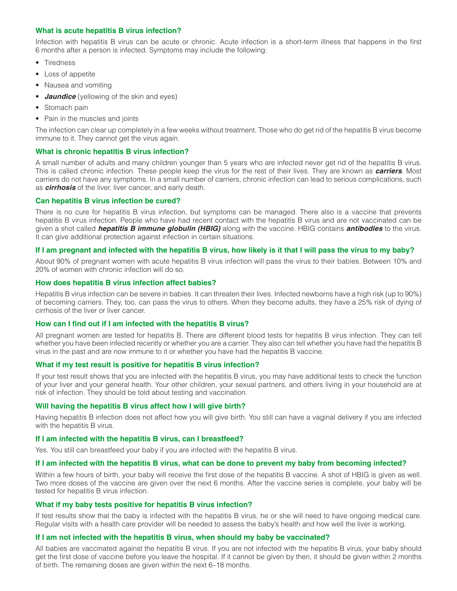# <span id="page-1-0"></span>**What is acute hepatitis B virus infection?**

Infection with hepatitis B virus can be acute or chronic. Acute infection is a short-term illness that happens in the first 6 months after a person is infected. Symptoms may include the following:

- **Tiredness**
- Loss of appetite
- Nausea and vomiting
- *Jaundice* (yellowing of the skin and eyes)
- Stomach pain
- Pain in the muscles and joints

The infection can clear up completely in a few weeks without treatment. Those who do get rid of the hepatitis B virus become immune to it. They cannot get the virus again.

# <span id="page-1-1"></span>**What is chronic hepatitis B virus infection?**

A small number of adults and many children younger than 5 years who are infected never get rid of the hepatitis B virus. This is called chronic infection. These people keep the virus for the rest of their lives. They are known as *carriers*. Most carriers do not have any symptoms. In a small number of carriers, chronic infection can lead to serious complications, such as *cirrhosis* of the liver, liver cancer, and early death.

## <span id="page-1-2"></span>**Can hepatitis B virus infection be cured?**

There is no cure for hepatitis B virus infection, but symptoms can be managed. There also is a vaccine that prevents hepatitis B virus infection. People who have had recent contact with the hepatitis B virus and are not vaccinated can be given a shot called *hepatitis B immune globulin (HBIG)* along with the vaccine. HBIG contains *antibodies* to the virus. It can give additional protection against infection in certain situations.

# <span id="page-1-3"></span>**If I am pregnant and infected with the hepatitis B virus, how likely is it that I will pass the virus to my baby?**

About 90% of pregnant women with acute hepatitis B virus infection will pass the virus to their babies. Between 10% and 20% of women with chronic infection will do so.

## <span id="page-1-4"></span>**How does hepatitis B virus infection affect babies?**

Hepatitis B virus infection can be severe in babies. It can threaten their lives. Infected newborns have a high risk (up to 90%) of becoming carriers. They, too, can pass the virus to others. When they become adults, they have a 25% risk of dying of cirrhosis of the liver or liver cancer.

## <span id="page-1-5"></span>**How can I find out if I am infected with the hepatitis B virus?**

All pregnant women are tested for hepatitis B. There are different blood tests for hepatitis B virus infection. They can tell whether you have been infected recently or whether you are a carrier. They also can tell whether you have had the hepatitis B virus in the past and are now immune to it or whether you have had the hepatitis B vaccine.

# <span id="page-1-6"></span>**What if my test result is positive for hepatitis B virus infection?**

If your test result shows that you are infected with the hepatitis B virus, you may have additional tests to check the function of your liver and your general health. Your other children, your sexual partners, and others living in your household are at risk of infection. They should be told about testing and vaccination.

# <span id="page-1-7"></span>**Will having the hepatitis B virus affect how I will give birth?**

Having hepatitis B infection does not affect how you will give birth. You still can have a vaginal delivery if you are infected with the hepatitis B virus.

# <span id="page-1-8"></span>**If I am infected with the hepatitis B virus, can I breastfeed?**

Yes. You still can breastfeed your baby if you are infected with the hepatitis B virus.

# <span id="page-1-9"></span>**If I am infected with the hepatitis B virus, what can be done to prevent my baby from becoming infected?**

Within a few hours of birth, your baby will receive the first dose of the hepatitis B vaccine. A shot of HBIG is given as well. Two more doses of the vaccine are given over the next 6 months. After the vaccine series is complete, your baby will be tested for hepatitis B virus infection.

# <span id="page-1-10"></span>**What if my baby tests positive for hepatitis B virus infection?**

If test results show that the baby is infected with the hepatitis B virus, he or she will need to have ongoing medical care. Regular visits with a health care provider will be needed to assess the baby's health and how well the liver is working.

# <span id="page-1-11"></span>**If I am not infected with the hepatitis B virus, when should my baby be vaccinated?**

All babies are vaccinated against the hepatitis B virus. If you are not infected with the hepatitis B virus, your baby should get the first dose of vaccine before you leave the hospital. If it cannot be given by then, it should be given within 2 months of birth. The remaining doses are given within the next 6–18 months.